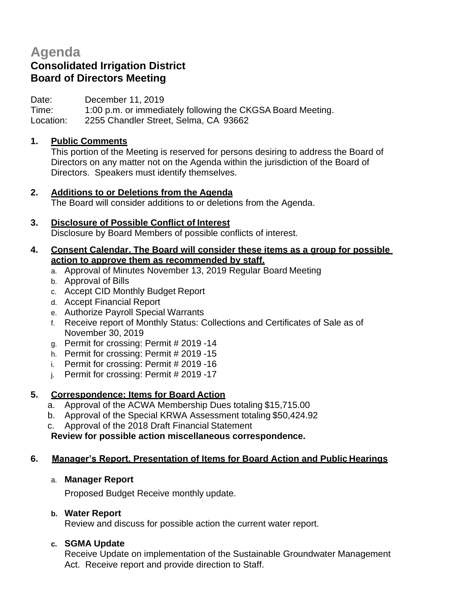# **Agenda**

# **Consolidated Irrigation District Board of Directors Meeting**

Date: December 11, 2019

Time: 1:00 p.m. or immediately following the CKGSA Board Meeting.

Location: 2255 Chandler Street, Selma, CA 93662

## **1. Public Comments**

This portion of the Meeting is reserved for persons desiring to address the Board of Directors on any matter not on the Agenda within the jurisdiction of the Board of Directors. Speakers must identify themselves.

### **2. Additions to or Deletions from the Agenda**

The Board will consider additions to or deletions from the Agenda.

## **3. Disclosure of Possible Conflict of Interest**

Disclosure by Board Members of possible conflicts of interest.

### **4. Consent Calendar. The Board will consider these items as a group for possible action to approve them as recommended by staff.**

- a. Approval of Minutes November 13, 2019 Regular Board Meeting
- b. Approval of Bills
- c. Accept CID Monthly Budget Report
- d. Accept Financial Report
- e. Authorize Payroll Special Warrants
- f. Receive report of Monthly Status: Collections and Certificates of Sale as of November 30, 2019
- g. Permit for crossing: Permit # 2019 -14
- h. Permit for crossing: Permit # 2019 -15
- i. Permit for crossing: Permit # 2019 -16
- j. Permit for crossing: Permit # 2019 -17

# **5. Correspondence: Items for Board Action**

- a. Approval of the ACWA Membership Dues totaling \$15,715.00
- b. Approval of the Special KRWA Assessment totaling \$50,424.92
- c. Approval of the 2018 Draft Financial Statement

**Review for possible action miscellaneous correspondence.**

### **6. Manager's Report, Presentation of Items for Board Action and Public Hearings**

### a. **Manager Report**

Proposed Budget Receive monthly update.

# **b. Water Report**

Review and discuss for possible action the current water report.

# **c. SGMA Update**

Receive Update on implementation of the Sustainable Groundwater Management Act. Receive report and provide direction to Staff.